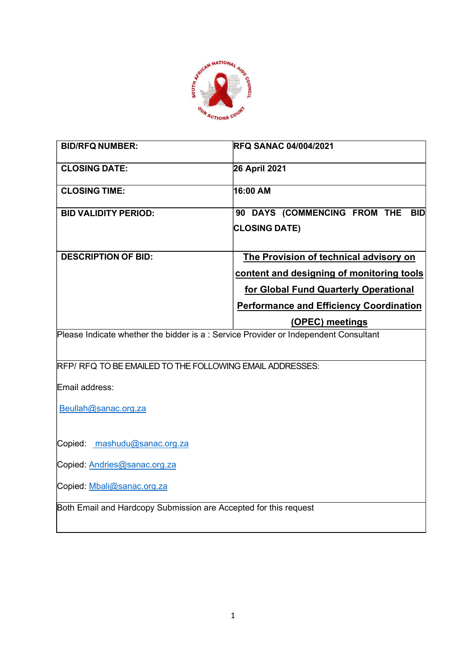

| <b>BID/RFQ NUMBER:</b>                                                               | <b>RFQ SANAC 04/004/2021</b>                   |  |
|--------------------------------------------------------------------------------------|------------------------------------------------|--|
| <b>CLOSING DATE:</b>                                                                 | 26 April 2021                                  |  |
| <b>CLOSING TIME:</b>                                                                 | 16:00 AM                                       |  |
| <b>BID VALIDITY PERIOD:</b>                                                          | 90 DAYS (COMMENCING FROM THE<br><b>BID</b>     |  |
|                                                                                      | <b>CLOSING DATE)</b>                           |  |
| <b>DESCRIPTION OF BID:</b>                                                           | The Provision of technical advisory on         |  |
|                                                                                      | content and designing of monitoring tools      |  |
|                                                                                      | for Global Fund Quarterly Operational          |  |
|                                                                                      | <b>Performance and Efficiency Coordination</b> |  |
|                                                                                      | (OPEC) meetings                                |  |
| Please Indicate whether the bidder is a : Service Provider or Independent Consultant |                                                |  |
| RFP/RFQ TO BE EMAILED TO THE FOLLOWING EMAIL ADDRESSES:                              |                                                |  |
| Email address:                                                                       |                                                |  |
| Beullah@sanac.org.za                                                                 |                                                |  |
| Copied: mashudu@sanac.org.za                                                         |                                                |  |
| Copied: Andries@sanac.org.za                                                         |                                                |  |
| Copied: Mbali@sanac.org.za                                                           |                                                |  |
| Both Email and Hardcopy Submission are Accepted for this request                     |                                                |  |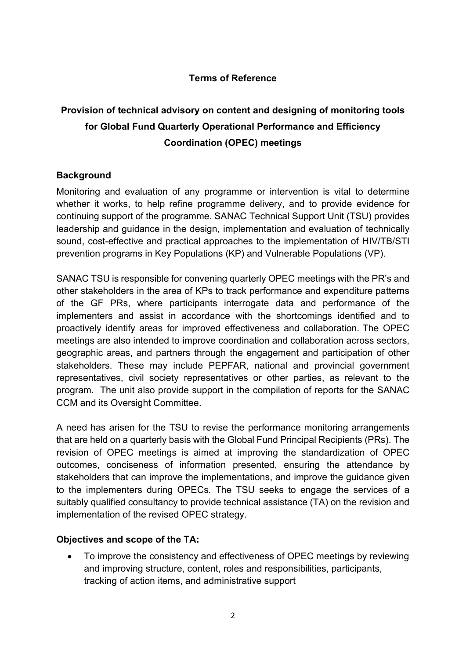# Terms of Reference

# Provision of technical advisory on content and designing of monitoring tools for Global Fund Quarterly Operational Performance and Efficiency Coordination (OPEC) meetings

## **Background**

Monitoring and evaluation of any programme or intervention is vital to determine whether it works, to help refine programme delivery, and to provide evidence for continuing support of the programme. SANAC Technical Support Unit (TSU) provides leadership and guidance in the design, implementation and evaluation of technically sound, cost-effective and practical approaches to the implementation of HIV/TB/STI prevention programs in Key Populations (KP) and Vulnerable Populations (VP).

SANAC TSU is responsible for convening quarterly OPEC meetings with the PR's and other stakeholders in the area of KPs to track performance and expenditure patterns of the GF PRs, where participants interrogate data and performance of the implementers and assist in accordance with the shortcomings identified and to proactively identify areas for improved effectiveness and collaboration. The OPEC meetings are also intended to improve coordination and collaboration across sectors, geographic areas, and partners through the engagement and participation of other stakeholders. These may include PEPFAR, national and provincial government representatives, civil society representatives or other parties, as relevant to the program. The unit also provide support in the compilation of reports for the SANAC CCM and its Oversight Committee.

A need has arisen for the TSU to revise the performance monitoring arrangements that are held on a quarterly basis with the Global Fund Principal Recipients (PRs). The revision of OPEC meetings is aimed at improving the standardization of OPEC outcomes, conciseness of information presented, ensuring the attendance by stakeholders that can improve the implementations, and improve the guidance given to the implementers during OPECs. The TSU seeks to engage the services of a suitably qualified consultancy to provide technical assistance (TA) on the revision and implementation of the revised OPEC strategy.

#### Objectives and scope of the TA:

 To improve the consistency and effectiveness of OPEC meetings by reviewing and improving structure, content, roles and responsibilities, participants, tracking of action items, and administrative support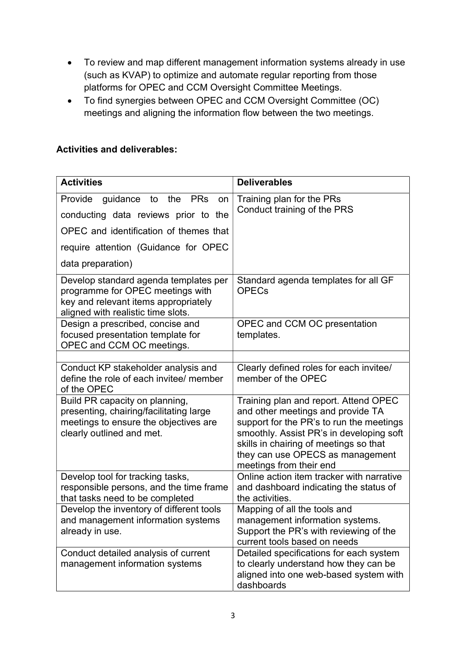- To review and map different management information systems already in use (such as KVAP) to optimize and automate regular reporting from those platforms for OPEC and CCM Oversight Committee Meetings.
- To find synergies between OPEC and CCM Oversight Committee (OC) meetings and aligning the information flow between the two meetings.

# Activities and deliverables:

| <b>Activities</b>                                                                                                                                       | <b>Deliverables</b>                                                                                                                                                                                                                                                         |
|---------------------------------------------------------------------------------------------------------------------------------------------------------|-----------------------------------------------------------------------------------------------------------------------------------------------------------------------------------------------------------------------------------------------------------------------------|
| <b>PRs</b><br>Provide<br>guidance<br>to<br>the<br>on<br>conducting data reviews prior to the<br>OPEC and identification of themes that                  | Training plan for the PRs<br>Conduct training of the PRS                                                                                                                                                                                                                    |
| require attention (Guidance for OPEC<br>data preparation)                                                                                               |                                                                                                                                                                                                                                                                             |
| Develop standard agenda templates per<br>programme for OPEC meetings with<br>key and relevant items appropriately<br>aligned with realistic time slots. | Standard agenda templates for all GF<br><b>OPECs</b>                                                                                                                                                                                                                        |
| Design a prescribed, concise and<br>focused presentation template for<br>OPEC and CCM OC meetings.                                                      | OPEC and CCM OC presentation<br>templates.                                                                                                                                                                                                                                  |
| Conduct KP stakeholder analysis and                                                                                                                     | Clearly defined roles for each invitee/                                                                                                                                                                                                                                     |
| define the role of each invitee/ member<br>of the OPEC                                                                                                  | member of the OPEC                                                                                                                                                                                                                                                          |
| Build PR capacity on planning,<br>presenting, chairing/facilitating large<br>meetings to ensure the objectives are<br>clearly outlined and met.         | Training plan and report. Attend OPEC<br>and other meetings and provide TA<br>support for the PR's to run the meetings<br>smoothly. Assist PR's in developing soft<br>skills in chairing of meetings so that<br>they can use OPECS as management<br>meetings from their end |
| Develop tool for tracking tasks,<br>responsible persons, and the time frame<br>that tasks need to be completed                                          | Online action item tracker with narrative<br>and dashboard indicating the status of<br>the activities.                                                                                                                                                                      |
| Develop the inventory of different tools<br>and management information systems<br>already in use.                                                       | Mapping of all the tools and<br>management information systems.<br>Support the PR's with reviewing of the<br>current tools based on needs                                                                                                                                   |
| Conduct detailed analysis of current<br>management information systems                                                                                  | Detailed specifications for each system<br>to clearly understand how they can be<br>aligned into one web-based system with<br>dashboards                                                                                                                                    |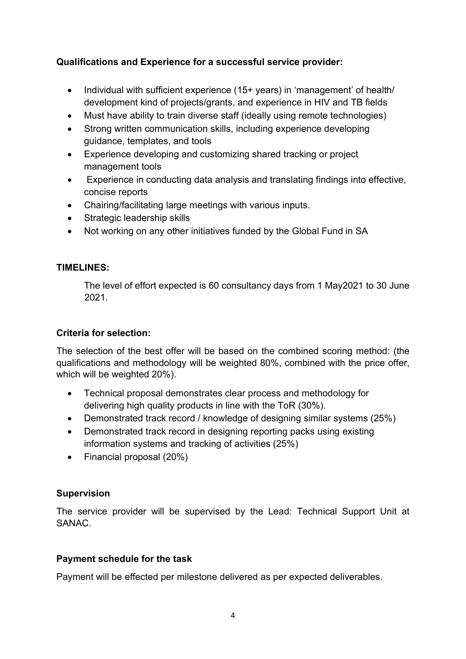# Qualifications and Experience for a successful service provider:

- Individual with sufficient experience (15+ years) in 'management' of health/ development kind of projects/grants, and experience in HIV and TB fields
- Must have ability to train diverse staff (ideally using remote technologies)
- Strong written communication skills, including experience developing guidance, templates, and tools
- Experience developing and customizing shared tracking or project management tools
- Experience in conducting data analysis and translating findings into effective, concise reports
- Chairing/facilitating large meetings with various inputs.
- Strategic leadership skills
- Not working on any other initiatives funded by the Global Fund in SA

## TIMELINES:

The level of effort expected is 60 consultancy days from 1 May2021 to 30 June 2021.

#### Criteria for selection:

The selection of the best offer will be based on the combined scoring method: (the qualifications and methodology will be weighted 80%, combined with the price offer, which will be weighted 20%).

- Technical proposal demonstrates clear process and methodology for delivering high quality products in line with the ToR (30%).
- Demonstrated track record / knowledge of designing similar systems (25%)
- Demonstrated track record in designing reporting packs using existing information systems and tracking of activities (25%)
- Financial proposal (20%)

## Supervision

The service provider will be supervised by the Lead: Technical Support Unit at SANAC.

## Payment schedule for the task

Payment will be effected per milestone delivered as per expected deliverables.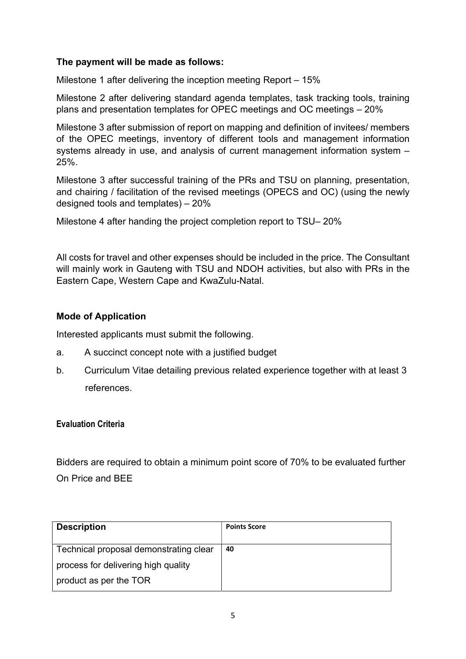#### The payment will be made as follows:

Milestone 1 after delivering the inception meeting Report – 15%

Milestone 2 after delivering standard agenda templates, task tracking tools, training plans and presentation templates for OPEC meetings and OC meetings – 20%

Milestone 3 after submission of report on mapping and definition of invitees/ members of the OPEC meetings, inventory of different tools and management information systems already in use, and analysis of current management information system – 25%.

Milestone 3 after successful training of the PRs and TSU on planning, presentation, and chairing / facilitation of the revised meetings (OPECS and OC) (using the newly designed tools and templates) – 20%

Milestone 4 after handing the project completion report to TSU– 20%

All costs for travel and other expenses should be included in the price. The Consultant will mainly work in Gauteng with TSU and NDOH activities, but also with PRs in the Eastern Cape, Western Cape and KwaZulu-Natal.

#### Mode of Application

Interested applicants must submit the following.

- a. A succinct concept note with a justified budget
- b. Curriculum Vitae detailing previous related experience together with at least 3 references.

#### Evaluation Criteria

Bidders are required to obtain a minimum point score of 70% to be evaluated further On Price and BEE

| <b>Description</b>                     | <b>Points Score</b> |
|----------------------------------------|---------------------|
| Technical proposal demonstrating clear | 40                  |
| process for delivering high quality    |                     |
| product as per the TOR                 |                     |